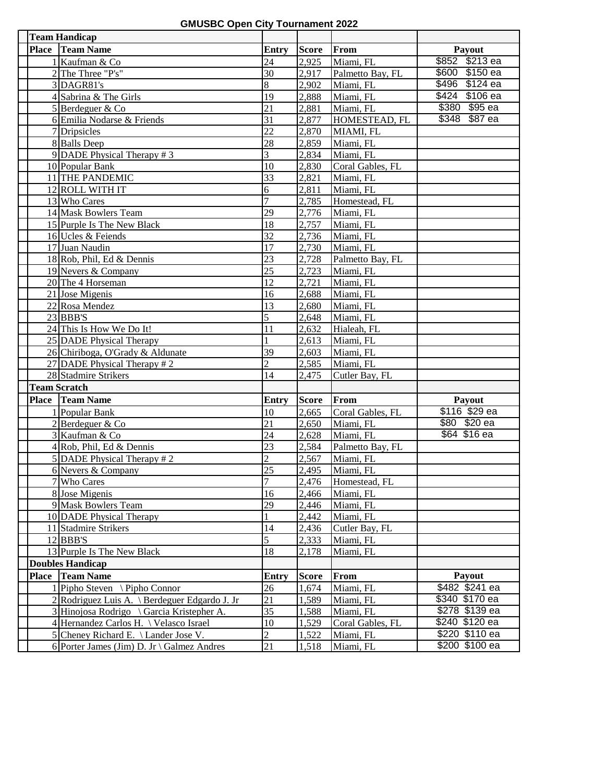**GMUSBC Open City Tournament 2022**

| <b>Team Handicap</b>                          |                 |              |                  |                    |
|-----------------------------------------------|-----------------|--------------|------------------|--------------------|
| Place Team Name                               | Entry           | <b>Score</b> | From             | Payout             |
| 1 Kaufman & Co                                | 24              | 2,925        | Miami, FL        | $$213$ ea<br>\$852 |
| 2 The Three "P's"                             | 30              | 2,917        | Palmetto Bay, FL | \$600 \$150 ea     |
| 3 DAGR81's                                    | 8               | 2,902        | Miami, FL        | \$496 \$124 ea     |
| 4 Sabrina & The Girls                         | 19              | 2,888        | Miami, FL        | \$424 \$106 ea     |
| 5 Berdeguer & Co                              | 21              | 2,881        | Miami, FL        | \$380 \$95 ea      |
| 6 Emilia Nodarse & Friends                    | 31              | 2,877        | HOMESTEAD, FL    | \$348 \$87 ea      |
| 7 Dripsicles                                  | $\overline{22}$ | 2,870        | MIAMI, FL        |                    |
| 8 Balls Deep                                  | 28              | 2,859        | Miami, FL        |                    |
| 9 DADE Physical Therapy $# 3$                 | 3               | 2,834        | Miami, FL        |                    |
| 10 Popular Bank                               | 10              | 2,830        | Coral Gables, FL |                    |
| 11 THE PANDEMIC                               | 33              | 2,821        | Miami, FL        |                    |
| 12 ROLL WITH IT                               | 6               | 2,811        | Miami, FL        |                    |
| 13 Who Cares                                  | $\overline{7}$  | 2,785        | Homestead, FL    |                    |
| 14 Mask Bowlers Team                          | 29              | 2,776        | Miami, FL        |                    |
| 15 Purple Is The New Black                    | 18              | 2,757        | Miami, FL        |                    |
| 16 Ucles & Feiends                            | 32              | 2,736        | Miami, FL        |                    |
| 17 Juan Naudin                                | 17              | 2,730        | Miami, FL        |                    |
| 18 Rob, Phil, Ed & Dennis                     | 23              | 2,728        | Palmetto Bay, FL |                    |
| 19 Nevers & Company                           | 25              | 2,723        | Miami, FL        |                    |
| 20 The 4 Horseman                             | 12              | 2,721        | Miami, FL        |                    |
| 21 Jose Migenis                               | 16              | 2,688        | Miami, FL        |                    |
| 22 Rosa Mendez                                | 13              | 2,680        | Miami, FL        |                    |
| 23 BBB'S                                      | 5               | 2,648        | Miami, FL        |                    |
| 24 This Is How We Do It!                      | 11              | 2,632        | Hialeah, FL      |                    |
| 25 DADE Physical Therapy                      |                 | 2,613        | Miami, FL        |                    |
| 26 Chiriboga, O'Grady & Aldunate              | 39              | 2,603        | Miami, FL        |                    |
| 27 DADE Physical Therapy #2                   | $\overline{c}$  | 2,585        | Miami, FL        |                    |
| 28 Stadmire Strikers                          | 14              | 2,475        | Cutler Bay, FL   |                    |
| <b>Team Scratch</b>                           |                 |              |                  |                    |
| <b>Place Team Name</b>                        | <b>Entry</b>    | <b>Score</b> | From             | Payout             |
| 1 Popular Bank                                | 10              | 2,665        | Coral Gables, FL | \$116 \$29 ea      |
| 2 Berdeguer & Co                              | 21              | 2,650        | Miami, FL        | \$80 \$20 ea       |
| 3 Kaufman & Co                                | 24              | 2,628        | Miami, FL        | \$64 \$16 ea       |
| 4 Rob, Phil, Ed & Dennis                      | 23              | 2,584        | Palmetto Bay, FL |                    |
| 5 DADE Physical Therapy #2                    | $\overline{c}$  | 2,567        | Miami, FL        |                    |
| 6 Nevers & Company                            | 25              | 2.495        | Miami, FL        |                    |
| 7 Who Cares                                   | 7               | 2,476        | Homestead, FL    |                    |
| 8 Jose Migenis                                | 16              | 2,466        | Miami, FL        |                    |
| 9 Mask Bowlers Team                           | 29              | 2,446        | Miami, FL        |                    |
| 10 DADE Physical Therapy                      |                 | 2,442        | Miami, FL        |                    |
| 11 Stadmire Strikers                          | 14              | 2,436        | Cutler Bay, FL   |                    |
| 12 BBB'S                                      | 5               | 2,333        | Miami, FL        |                    |
| 13 Purple Is The New Black                    | 18              | 2,178        | Miami, FL        |                    |
| <b>Doubles Handicap</b>                       |                 |              |                  |                    |
| Place Team Name                               | Entry           | <b>Score</b> | From             | Payout             |
| $1$ Pipho Steven \ Pipho Connor               | 26              | 1,674        | Miami, FL        | \$482 \$241 ea     |
| 2 Rodriguez Luis A. \ Berdeguer Edgardo J. Jr | 21              | 1,589        | Miami, FL        | \$340 \$170 ea     |
| 3 Hinojosa Rodrigo \ Garcia Kristepher A.     | 35              | 1,588        | Miami, FL        | \$278 \$139 ea     |
| 4 Hernandez Carlos H. \ Velasco Israel        | 10              | 1,529        | Coral Gables, FL | \$240 \$120 ea     |
| 5 Cheney Richard E. \ Lander Jose V.          | $\overline{2}$  | 1,522        | Miami, FL        | \$220 \$110 ea     |
| 6 Porter James (Jim) D. Jr \ Galmez Andres    | 21              | 1,518        | Miami, FL        | \$200 \$100 ea     |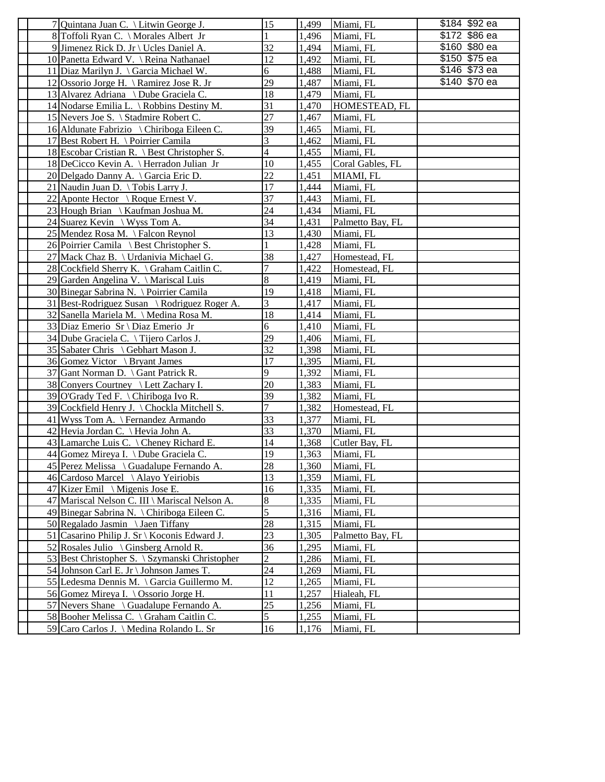| \$172 \$86 ea<br>8 Toffoli Ryan C. \ Morales Albert Jr<br>1,496<br>Miami, FL<br>\$160 \$80 ea<br>32<br>9 Jimenez Rick D. Jr \ Ucles Daniel A.<br>1,494<br>Miami, FL<br>\$150 \$75 ea<br>12<br>1,492<br>Miami, FL<br>10 Panetta Edward V. \ Reina Nathanael<br>\$146 \$73 ea<br>6<br>1,488<br>11 Diaz Marilyn J. \ Garcia Michael W.<br>Miami, FL<br>\$140 \$70 ea<br>29<br>1,487<br>12 Ossorio Jorge H. \ Ramirez Jose R. Jr<br>Miami, FL<br>18<br>1,479<br>13 Alvarez Adriana \ Dube Graciela C.<br>Miami, FL<br>31<br>14 Nodarse Emilia L. \ Robbins Destiny M.<br>1,470<br>HOMESTEAD, FL<br>27<br>15 Nevers Joe S. \ Stadmire Robert C.<br>1,467<br>Miami, FL<br>16 Aldunate Fabrizio \ Chiriboga Eileen C.<br>39<br>1,465<br>Miami, FL<br>3<br>1,462<br>17 Best Robert H. \ Poirrier Camila<br>Miami, FL<br>4<br>18 Escobar Cristian R. \ Best Christopher S.<br>1,455<br>Miami, FL<br>18 DeCicco Kevin A. \ Herradon Julian Jr<br>10<br>1,455<br>Coral Gables, FL<br>22<br>20 Delgado Danny A. \ Garcia Eric D.<br>1,451<br>MIAMI, FL<br>17<br>21 Naudin Juan D. \ Tobis Larry J.<br>1,444<br>Miami, FL<br>37<br>22 Aponte Hector \ Roque Ernest V.<br>1,443<br>Miami, FL<br>24<br>23 Hough Brian \ Kaufman Joshua M.<br>1,434<br>Miami, FL<br>34<br>1,431<br>24 Suarez Kevin \ Wyss Tom A.<br>Palmetto Bay, FL<br>13<br>25 Mendez Rosa M. \Falcon Reynol<br>1,430<br>Miami, FL<br>26 Poirrier Camila \ Best Christopher S.<br>1,428<br>Miami, FL<br>38<br>27 Mack Chaz B. \ Urdanivia Michael G.<br>1,427<br>Homestead, FL<br>1,422<br>28 Cockfield Sherry K. \ Graham Caitlin C.<br>7<br>Homestead, FL<br>8<br>29 Garden Angelina V. \ Mariscal Luis<br>1,419<br>Miami, FL<br>19<br>30 Binegar Sabrina N. \ Poirrier Camila<br>1,418<br>Miami, FL<br>3<br>1,417<br>31 Best-Rodriguez Susan \ Rodriguez Roger A.<br>Miami, FL<br>18<br>1,414<br>Miami, FL<br>32 Sanella Mariela M. \ Medina Rosa M.<br>6<br>1,410<br>33 Diaz Emerio Sr \ Diaz Emerio Jr<br>Miami, FL<br>29<br>34 Dube Graciela C. \Tijero Carlos J.<br>1,406<br>Miami, FL<br>32<br>1,398<br>35 Sabater Chris \ Gebhart Mason J.<br>Miami, FL<br>17<br>1,395<br>36 Gomez Victor \ Bryant James<br>Miami, FL<br>9<br>1,392<br>37 Gant Norman D. \ Gant Patrick R.<br>Miami, FL<br>20<br>1,383<br>38 Conyers Courtney \ Lett Zachary I.<br>Miami, FL<br>39<br>1,382<br>39 O'Grady Ted F. \ Chiriboga Ivo R.<br>Miami, FL<br>7<br>39 Cockfield Henry J. \ Chockla Mitchell S.<br>1,382<br>Homestead, FL<br>33<br>1,377<br>41 Wyss Tom A. $\operatorname{\mathsf{Fern}}\nolimits$ Armando<br>Miami, FL<br>42 Hevia Jordan C. \ Hevia John A.<br>33<br>1,370<br>Miami, FL<br>43 Lamarche Luis C. \ Cheney Richard E.<br>14<br>1,368<br>Cutler Bay, FL<br>44 Gomez Mireya I. \ Dube Graciela C.<br>19<br>1,363<br>Miami, FL<br>28<br>45 Perez Melissa \ Guadalupe Fernando A.<br>1,360<br>Miami, FL<br>13<br>46 Cardoso Marcel \ Alayo Yeiriobis<br>1,359<br>Miami, FL<br>47 Kizer Emil \ Migenis Jose E.<br>16<br>1,335<br>Miami, FL<br>8<br>47 Mariscal Nelson C. III \ Mariscal Nelson A.<br>1,335<br>Miami, FL<br>5<br>49 Binegar Sabrina N. \ Chiriboga Eileen C.<br>1,316<br>Miami, FL<br>28<br>1,315<br>50 Regalado Jasmin \ Jaen Tiffany<br>Miami, FL<br>23<br>51 Casarino Philip J. Sr \ Koconis Edward J.<br>1,305<br>Palmetto Bay, FL<br>52 Rosales Julio \ Ginsberg Arnold R.<br>36<br>1,295<br>Miami, FL<br>$\overline{c}$<br>53 Best Christopher S. \ Szymanski Christopher<br>1,286<br>Miami, FL<br>24<br>1,269<br>54 Johnson Carl E. Jr \ Johnson James T.<br>Miami, FL<br>12<br>55 Ledesma Dennis M. \ Garcia Guillermo M.<br>Miami, FL<br>1,265<br>11<br>56 Gomez Mireya I. \ Ossorio Jorge H.<br>1,257<br>Hialeah, FL<br>25<br>57 Nevers Shane \ Guadalupe Fernando A.<br>1,256<br>Miami, FL | 7 Quintana Juan C. \ Litwin George J.    | 15 | 1,499 | Miami, FL | \$184 \$92 ea |
|--------------------------------------------------------------------------------------------------------------------------------------------------------------------------------------------------------------------------------------------------------------------------------------------------------------------------------------------------------------------------------------------------------------------------------------------------------------------------------------------------------------------------------------------------------------------------------------------------------------------------------------------------------------------------------------------------------------------------------------------------------------------------------------------------------------------------------------------------------------------------------------------------------------------------------------------------------------------------------------------------------------------------------------------------------------------------------------------------------------------------------------------------------------------------------------------------------------------------------------------------------------------------------------------------------------------------------------------------------------------------------------------------------------------------------------------------------------------------------------------------------------------------------------------------------------------------------------------------------------------------------------------------------------------------------------------------------------------------------------------------------------------------------------------------------------------------------------------------------------------------------------------------------------------------------------------------------------------------------------------------------------------------------------------------------------------------------------------------------------------------------------------------------------------------------------------------------------------------------------------------------------------------------------------------------------------------------------------------------------------------------------------------------------------------------------------------------------------------------------------------------------------------------------------------------------------------------------------------------------------------------------------------------------------------------------------------------------------------------------------------------------------------------------------------------------------------------------------------------------------------------------------------------------------------------------------------------------------------------------------------------------------------------------------------------------------------------------------------------------------------------------------------------------------------------------------------------------------------------------------------------------------------------------------------------------------------------------------------------------------------------------------------------------------------------------------------------------------------------------------------------------------------------------------------------------------------------------------------------------------------------------------------------------------------------------------------------------------------------------------------------------------------------|------------------------------------------|----|-------|-----------|---------------|
|                                                                                                                                                                                                                                                                                                                                                                                                                                                                                                                                                                                                                                                                                                                                                                                                                                                                                                                                                                                                                                                                                                                                                                                                                                                                                                                                                                                                                                                                                                                                                                                                                                                                                                                                                                                                                                                                                                                                                                                                                                                                                                                                                                                                                                                                                                                                                                                                                                                                                                                                                                                                                                                                                                                                                                                                                                                                                                                                                                                                                                                                                                                                                                                                                                                                                                                                                                                                                                                                                                                                                                                                                                                                                                                                                                                |                                          |    |       |           |               |
|                                                                                                                                                                                                                                                                                                                                                                                                                                                                                                                                                                                                                                                                                                                                                                                                                                                                                                                                                                                                                                                                                                                                                                                                                                                                                                                                                                                                                                                                                                                                                                                                                                                                                                                                                                                                                                                                                                                                                                                                                                                                                                                                                                                                                                                                                                                                                                                                                                                                                                                                                                                                                                                                                                                                                                                                                                                                                                                                                                                                                                                                                                                                                                                                                                                                                                                                                                                                                                                                                                                                                                                                                                                                                                                                                                                |                                          |    |       |           |               |
|                                                                                                                                                                                                                                                                                                                                                                                                                                                                                                                                                                                                                                                                                                                                                                                                                                                                                                                                                                                                                                                                                                                                                                                                                                                                                                                                                                                                                                                                                                                                                                                                                                                                                                                                                                                                                                                                                                                                                                                                                                                                                                                                                                                                                                                                                                                                                                                                                                                                                                                                                                                                                                                                                                                                                                                                                                                                                                                                                                                                                                                                                                                                                                                                                                                                                                                                                                                                                                                                                                                                                                                                                                                                                                                                                                                |                                          |    |       |           |               |
|                                                                                                                                                                                                                                                                                                                                                                                                                                                                                                                                                                                                                                                                                                                                                                                                                                                                                                                                                                                                                                                                                                                                                                                                                                                                                                                                                                                                                                                                                                                                                                                                                                                                                                                                                                                                                                                                                                                                                                                                                                                                                                                                                                                                                                                                                                                                                                                                                                                                                                                                                                                                                                                                                                                                                                                                                                                                                                                                                                                                                                                                                                                                                                                                                                                                                                                                                                                                                                                                                                                                                                                                                                                                                                                                                                                |                                          |    |       |           |               |
|                                                                                                                                                                                                                                                                                                                                                                                                                                                                                                                                                                                                                                                                                                                                                                                                                                                                                                                                                                                                                                                                                                                                                                                                                                                                                                                                                                                                                                                                                                                                                                                                                                                                                                                                                                                                                                                                                                                                                                                                                                                                                                                                                                                                                                                                                                                                                                                                                                                                                                                                                                                                                                                                                                                                                                                                                                                                                                                                                                                                                                                                                                                                                                                                                                                                                                                                                                                                                                                                                                                                                                                                                                                                                                                                                                                |                                          |    |       |           |               |
|                                                                                                                                                                                                                                                                                                                                                                                                                                                                                                                                                                                                                                                                                                                                                                                                                                                                                                                                                                                                                                                                                                                                                                                                                                                                                                                                                                                                                                                                                                                                                                                                                                                                                                                                                                                                                                                                                                                                                                                                                                                                                                                                                                                                                                                                                                                                                                                                                                                                                                                                                                                                                                                                                                                                                                                                                                                                                                                                                                                                                                                                                                                                                                                                                                                                                                                                                                                                                                                                                                                                                                                                                                                                                                                                                                                |                                          |    |       |           |               |
|                                                                                                                                                                                                                                                                                                                                                                                                                                                                                                                                                                                                                                                                                                                                                                                                                                                                                                                                                                                                                                                                                                                                                                                                                                                                                                                                                                                                                                                                                                                                                                                                                                                                                                                                                                                                                                                                                                                                                                                                                                                                                                                                                                                                                                                                                                                                                                                                                                                                                                                                                                                                                                                                                                                                                                                                                                                                                                                                                                                                                                                                                                                                                                                                                                                                                                                                                                                                                                                                                                                                                                                                                                                                                                                                                                                |                                          |    |       |           |               |
|                                                                                                                                                                                                                                                                                                                                                                                                                                                                                                                                                                                                                                                                                                                                                                                                                                                                                                                                                                                                                                                                                                                                                                                                                                                                                                                                                                                                                                                                                                                                                                                                                                                                                                                                                                                                                                                                                                                                                                                                                                                                                                                                                                                                                                                                                                                                                                                                                                                                                                                                                                                                                                                                                                                                                                                                                                                                                                                                                                                                                                                                                                                                                                                                                                                                                                                                                                                                                                                                                                                                                                                                                                                                                                                                                                                |                                          |    |       |           |               |
|                                                                                                                                                                                                                                                                                                                                                                                                                                                                                                                                                                                                                                                                                                                                                                                                                                                                                                                                                                                                                                                                                                                                                                                                                                                                                                                                                                                                                                                                                                                                                                                                                                                                                                                                                                                                                                                                                                                                                                                                                                                                                                                                                                                                                                                                                                                                                                                                                                                                                                                                                                                                                                                                                                                                                                                                                                                                                                                                                                                                                                                                                                                                                                                                                                                                                                                                                                                                                                                                                                                                                                                                                                                                                                                                                                                |                                          |    |       |           |               |
|                                                                                                                                                                                                                                                                                                                                                                                                                                                                                                                                                                                                                                                                                                                                                                                                                                                                                                                                                                                                                                                                                                                                                                                                                                                                                                                                                                                                                                                                                                                                                                                                                                                                                                                                                                                                                                                                                                                                                                                                                                                                                                                                                                                                                                                                                                                                                                                                                                                                                                                                                                                                                                                                                                                                                                                                                                                                                                                                                                                                                                                                                                                                                                                                                                                                                                                                                                                                                                                                                                                                                                                                                                                                                                                                                                                |                                          |    |       |           |               |
|                                                                                                                                                                                                                                                                                                                                                                                                                                                                                                                                                                                                                                                                                                                                                                                                                                                                                                                                                                                                                                                                                                                                                                                                                                                                                                                                                                                                                                                                                                                                                                                                                                                                                                                                                                                                                                                                                                                                                                                                                                                                                                                                                                                                                                                                                                                                                                                                                                                                                                                                                                                                                                                                                                                                                                                                                                                                                                                                                                                                                                                                                                                                                                                                                                                                                                                                                                                                                                                                                                                                                                                                                                                                                                                                                                                |                                          |    |       |           |               |
|                                                                                                                                                                                                                                                                                                                                                                                                                                                                                                                                                                                                                                                                                                                                                                                                                                                                                                                                                                                                                                                                                                                                                                                                                                                                                                                                                                                                                                                                                                                                                                                                                                                                                                                                                                                                                                                                                                                                                                                                                                                                                                                                                                                                                                                                                                                                                                                                                                                                                                                                                                                                                                                                                                                                                                                                                                                                                                                                                                                                                                                                                                                                                                                                                                                                                                                                                                                                                                                                                                                                                                                                                                                                                                                                                                                |                                          |    |       |           |               |
|                                                                                                                                                                                                                                                                                                                                                                                                                                                                                                                                                                                                                                                                                                                                                                                                                                                                                                                                                                                                                                                                                                                                                                                                                                                                                                                                                                                                                                                                                                                                                                                                                                                                                                                                                                                                                                                                                                                                                                                                                                                                                                                                                                                                                                                                                                                                                                                                                                                                                                                                                                                                                                                                                                                                                                                                                                                                                                                                                                                                                                                                                                                                                                                                                                                                                                                                                                                                                                                                                                                                                                                                                                                                                                                                                                                |                                          |    |       |           |               |
|                                                                                                                                                                                                                                                                                                                                                                                                                                                                                                                                                                                                                                                                                                                                                                                                                                                                                                                                                                                                                                                                                                                                                                                                                                                                                                                                                                                                                                                                                                                                                                                                                                                                                                                                                                                                                                                                                                                                                                                                                                                                                                                                                                                                                                                                                                                                                                                                                                                                                                                                                                                                                                                                                                                                                                                                                                                                                                                                                                                                                                                                                                                                                                                                                                                                                                                                                                                                                                                                                                                                                                                                                                                                                                                                                                                |                                          |    |       |           |               |
|                                                                                                                                                                                                                                                                                                                                                                                                                                                                                                                                                                                                                                                                                                                                                                                                                                                                                                                                                                                                                                                                                                                                                                                                                                                                                                                                                                                                                                                                                                                                                                                                                                                                                                                                                                                                                                                                                                                                                                                                                                                                                                                                                                                                                                                                                                                                                                                                                                                                                                                                                                                                                                                                                                                                                                                                                                                                                                                                                                                                                                                                                                                                                                                                                                                                                                                                                                                                                                                                                                                                                                                                                                                                                                                                                                                |                                          |    |       |           |               |
|                                                                                                                                                                                                                                                                                                                                                                                                                                                                                                                                                                                                                                                                                                                                                                                                                                                                                                                                                                                                                                                                                                                                                                                                                                                                                                                                                                                                                                                                                                                                                                                                                                                                                                                                                                                                                                                                                                                                                                                                                                                                                                                                                                                                                                                                                                                                                                                                                                                                                                                                                                                                                                                                                                                                                                                                                                                                                                                                                                                                                                                                                                                                                                                                                                                                                                                                                                                                                                                                                                                                                                                                                                                                                                                                                                                |                                          |    |       |           |               |
|                                                                                                                                                                                                                                                                                                                                                                                                                                                                                                                                                                                                                                                                                                                                                                                                                                                                                                                                                                                                                                                                                                                                                                                                                                                                                                                                                                                                                                                                                                                                                                                                                                                                                                                                                                                                                                                                                                                                                                                                                                                                                                                                                                                                                                                                                                                                                                                                                                                                                                                                                                                                                                                                                                                                                                                                                                                                                                                                                                                                                                                                                                                                                                                                                                                                                                                                                                                                                                                                                                                                                                                                                                                                                                                                                                                |                                          |    |       |           |               |
|                                                                                                                                                                                                                                                                                                                                                                                                                                                                                                                                                                                                                                                                                                                                                                                                                                                                                                                                                                                                                                                                                                                                                                                                                                                                                                                                                                                                                                                                                                                                                                                                                                                                                                                                                                                                                                                                                                                                                                                                                                                                                                                                                                                                                                                                                                                                                                                                                                                                                                                                                                                                                                                                                                                                                                                                                                                                                                                                                                                                                                                                                                                                                                                                                                                                                                                                                                                                                                                                                                                                                                                                                                                                                                                                                                                |                                          |    |       |           |               |
|                                                                                                                                                                                                                                                                                                                                                                                                                                                                                                                                                                                                                                                                                                                                                                                                                                                                                                                                                                                                                                                                                                                                                                                                                                                                                                                                                                                                                                                                                                                                                                                                                                                                                                                                                                                                                                                                                                                                                                                                                                                                                                                                                                                                                                                                                                                                                                                                                                                                                                                                                                                                                                                                                                                                                                                                                                                                                                                                                                                                                                                                                                                                                                                                                                                                                                                                                                                                                                                                                                                                                                                                                                                                                                                                                                                |                                          |    |       |           |               |
|                                                                                                                                                                                                                                                                                                                                                                                                                                                                                                                                                                                                                                                                                                                                                                                                                                                                                                                                                                                                                                                                                                                                                                                                                                                                                                                                                                                                                                                                                                                                                                                                                                                                                                                                                                                                                                                                                                                                                                                                                                                                                                                                                                                                                                                                                                                                                                                                                                                                                                                                                                                                                                                                                                                                                                                                                                                                                                                                                                                                                                                                                                                                                                                                                                                                                                                                                                                                                                                                                                                                                                                                                                                                                                                                                                                |                                          |    |       |           |               |
|                                                                                                                                                                                                                                                                                                                                                                                                                                                                                                                                                                                                                                                                                                                                                                                                                                                                                                                                                                                                                                                                                                                                                                                                                                                                                                                                                                                                                                                                                                                                                                                                                                                                                                                                                                                                                                                                                                                                                                                                                                                                                                                                                                                                                                                                                                                                                                                                                                                                                                                                                                                                                                                                                                                                                                                                                                                                                                                                                                                                                                                                                                                                                                                                                                                                                                                                                                                                                                                                                                                                                                                                                                                                                                                                                                                |                                          |    |       |           |               |
|                                                                                                                                                                                                                                                                                                                                                                                                                                                                                                                                                                                                                                                                                                                                                                                                                                                                                                                                                                                                                                                                                                                                                                                                                                                                                                                                                                                                                                                                                                                                                                                                                                                                                                                                                                                                                                                                                                                                                                                                                                                                                                                                                                                                                                                                                                                                                                                                                                                                                                                                                                                                                                                                                                                                                                                                                                                                                                                                                                                                                                                                                                                                                                                                                                                                                                                                                                                                                                                                                                                                                                                                                                                                                                                                                                                |                                          |    |       |           |               |
|                                                                                                                                                                                                                                                                                                                                                                                                                                                                                                                                                                                                                                                                                                                                                                                                                                                                                                                                                                                                                                                                                                                                                                                                                                                                                                                                                                                                                                                                                                                                                                                                                                                                                                                                                                                                                                                                                                                                                                                                                                                                                                                                                                                                                                                                                                                                                                                                                                                                                                                                                                                                                                                                                                                                                                                                                                                                                                                                                                                                                                                                                                                                                                                                                                                                                                                                                                                                                                                                                                                                                                                                                                                                                                                                                                                |                                          |    |       |           |               |
|                                                                                                                                                                                                                                                                                                                                                                                                                                                                                                                                                                                                                                                                                                                                                                                                                                                                                                                                                                                                                                                                                                                                                                                                                                                                                                                                                                                                                                                                                                                                                                                                                                                                                                                                                                                                                                                                                                                                                                                                                                                                                                                                                                                                                                                                                                                                                                                                                                                                                                                                                                                                                                                                                                                                                                                                                                                                                                                                                                                                                                                                                                                                                                                                                                                                                                                                                                                                                                                                                                                                                                                                                                                                                                                                                                                |                                          |    |       |           |               |
|                                                                                                                                                                                                                                                                                                                                                                                                                                                                                                                                                                                                                                                                                                                                                                                                                                                                                                                                                                                                                                                                                                                                                                                                                                                                                                                                                                                                                                                                                                                                                                                                                                                                                                                                                                                                                                                                                                                                                                                                                                                                                                                                                                                                                                                                                                                                                                                                                                                                                                                                                                                                                                                                                                                                                                                                                                                                                                                                                                                                                                                                                                                                                                                                                                                                                                                                                                                                                                                                                                                                                                                                                                                                                                                                                                                |                                          |    |       |           |               |
|                                                                                                                                                                                                                                                                                                                                                                                                                                                                                                                                                                                                                                                                                                                                                                                                                                                                                                                                                                                                                                                                                                                                                                                                                                                                                                                                                                                                                                                                                                                                                                                                                                                                                                                                                                                                                                                                                                                                                                                                                                                                                                                                                                                                                                                                                                                                                                                                                                                                                                                                                                                                                                                                                                                                                                                                                                                                                                                                                                                                                                                                                                                                                                                                                                                                                                                                                                                                                                                                                                                                                                                                                                                                                                                                                                                |                                          |    |       |           |               |
|                                                                                                                                                                                                                                                                                                                                                                                                                                                                                                                                                                                                                                                                                                                                                                                                                                                                                                                                                                                                                                                                                                                                                                                                                                                                                                                                                                                                                                                                                                                                                                                                                                                                                                                                                                                                                                                                                                                                                                                                                                                                                                                                                                                                                                                                                                                                                                                                                                                                                                                                                                                                                                                                                                                                                                                                                                                                                                                                                                                                                                                                                                                                                                                                                                                                                                                                                                                                                                                                                                                                                                                                                                                                                                                                                                                |                                          |    |       |           |               |
|                                                                                                                                                                                                                                                                                                                                                                                                                                                                                                                                                                                                                                                                                                                                                                                                                                                                                                                                                                                                                                                                                                                                                                                                                                                                                                                                                                                                                                                                                                                                                                                                                                                                                                                                                                                                                                                                                                                                                                                                                                                                                                                                                                                                                                                                                                                                                                                                                                                                                                                                                                                                                                                                                                                                                                                                                                                                                                                                                                                                                                                                                                                                                                                                                                                                                                                                                                                                                                                                                                                                                                                                                                                                                                                                                                                |                                          |    |       |           |               |
|                                                                                                                                                                                                                                                                                                                                                                                                                                                                                                                                                                                                                                                                                                                                                                                                                                                                                                                                                                                                                                                                                                                                                                                                                                                                                                                                                                                                                                                                                                                                                                                                                                                                                                                                                                                                                                                                                                                                                                                                                                                                                                                                                                                                                                                                                                                                                                                                                                                                                                                                                                                                                                                                                                                                                                                                                                                                                                                                                                                                                                                                                                                                                                                                                                                                                                                                                                                                                                                                                                                                                                                                                                                                                                                                                                                |                                          |    |       |           |               |
|                                                                                                                                                                                                                                                                                                                                                                                                                                                                                                                                                                                                                                                                                                                                                                                                                                                                                                                                                                                                                                                                                                                                                                                                                                                                                                                                                                                                                                                                                                                                                                                                                                                                                                                                                                                                                                                                                                                                                                                                                                                                                                                                                                                                                                                                                                                                                                                                                                                                                                                                                                                                                                                                                                                                                                                                                                                                                                                                                                                                                                                                                                                                                                                                                                                                                                                                                                                                                                                                                                                                                                                                                                                                                                                                                                                |                                          |    |       |           |               |
|                                                                                                                                                                                                                                                                                                                                                                                                                                                                                                                                                                                                                                                                                                                                                                                                                                                                                                                                                                                                                                                                                                                                                                                                                                                                                                                                                                                                                                                                                                                                                                                                                                                                                                                                                                                                                                                                                                                                                                                                                                                                                                                                                                                                                                                                                                                                                                                                                                                                                                                                                                                                                                                                                                                                                                                                                                                                                                                                                                                                                                                                                                                                                                                                                                                                                                                                                                                                                                                                                                                                                                                                                                                                                                                                                                                |                                          |    |       |           |               |
|                                                                                                                                                                                                                                                                                                                                                                                                                                                                                                                                                                                                                                                                                                                                                                                                                                                                                                                                                                                                                                                                                                                                                                                                                                                                                                                                                                                                                                                                                                                                                                                                                                                                                                                                                                                                                                                                                                                                                                                                                                                                                                                                                                                                                                                                                                                                                                                                                                                                                                                                                                                                                                                                                                                                                                                                                                                                                                                                                                                                                                                                                                                                                                                                                                                                                                                                                                                                                                                                                                                                                                                                                                                                                                                                                                                |                                          |    |       |           |               |
|                                                                                                                                                                                                                                                                                                                                                                                                                                                                                                                                                                                                                                                                                                                                                                                                                                                                                                                                                                                                                                                                                                                                                                                                                                                                                                                                                                                                                                                                                                                                                                                                                                                                                                                                                                                                                                                                                                                                                                                                                                                                                                                                                                                                                                                                                                                                                                                                                                                                                                                                                                                                                                                                                                                                                                                                                                                                                                                                                                                                                                                                                                                                                                                                                                                                                                                                                                                                                                                                                                                                                                                                                                                                                                                                                                                |                                          |    |       |           |               |
|                                                                                                                                                                                                                                                                                                                                                                                                                                                                                                                                                                                                                                                                                                                                                                                                                                                                                                                                                                                                                                                                                                                                                                                                                                                                                                                                                                                                                                                                                                                                                                                                                                                                                                                                                                                                                                                                                                                                                                                                                                                                                                                                                                                                                                                                                                                                                                                                                                                                                                                                                                                                                                                                                                                                                                                                                                                                                                                                                                                                                                                                                                                                                                                                                                                                                                                                                                                                                                                                                                                                                                                                                                                                                                                                                                                |                                          |    |       |           |               |
|                                                                                                                                                                                                                                                                                                                                                                                                                                                                                                                                                                                                                                                                                                                                                                                                                                                                                                                                                                                                                                                                                                                                                                                                                                                                                                                                                                                                                                                                                                                                                                                                                                                                                                                                                                                                                                                                                                                                                                                                                                                                                                                                                                                                                                                                                                                                                                                                                                                                                                                                                                                                                                                                                                                                                                                                                                                                                                                                                                                                                                                                                                                                                                                                                                                                                                                                                                                                                                                                                                                                                                                                                                                                                                                                                                                |                                          |    |       |           |               |
|                                                                                                                                                                                                                                                                                                                                                                                                                                                                                                                                                                                                                                                                                                                                                                                                                                                                                                                                                                                                                                                                                                                                                                                                                                                                                                                                                                                                                                                                                                                                                                                                                                                                                                                                                                                                                                                                                                                                                                                                                                                                                                                                                                                                                                                                                                                                                                                                                                                                                                                                                                                                                                                                                                                                                                                                                                                                                                                                                                                                                                                                                                                                                                                                                                                                                                                                                                                                                                                                                                                                                                                                                                                                                                                                                                                |                                          |    |       |           |               |
|                                                                                                                                                                                                                                                                                                                                                                                                                                                                                                                                                                                                                                                                                                                                                                                                                                                                                                                                                                                                                                                                                                                                                                                                                                                                                                                                                                                                                                                                                                                                                                                                                                                                                                                                                                                                                                                                                                                                                                                                                                                                                                                                                                                                                                                                                                                                                                                                                                                                                                                                                                                                                                                                                                                                                                                                                                                                                                                                                                                                                                                                                                                                                                                                                                                                                                                                                                                                                                                                                                                                                                                                                                                                                                                                                                                |                                          |    |       |           |               |
|                                                                                                                                                                                                                                                                                                                                                                                                                                                                                                                                                                                                                                                                                                                                                                                                                                                                                                                                                                                                                                                                                                                                                                                                                                                                                                                                                                                                                                                                                                                                                                                                                                                                                                                                                                                                                                                                                                                                                                                                                                                                                                                                                                                                                                                                                                                                                                                                                                                                                                                                                                                                                                                                                                                                                                                                                                                                                                                                                                                                                                                                                                                                                                                                                                                                                                                                                                                                                                                                                                                                                                                                                                                                                                                                                                                |                                          |    |       |           |               |
|                                                                                                                                                                                                                                                                                                                                                                                                                                                                                                                                                                                                                                                                                                                                                                                                                                                                                                                                                                                                                                                                                                                                                                                                                                                                                                                                                                                                                                                                                                                                                                                                                                                                                                                                                                                                                                                                                                                                                                                                                                                                                                                                                                                                                                                                                                                                                                                                                                                                                                                                                                                                                                                                                                                                                                                                                                                                                                                                                                                                                                                                                                                                                                                                                                                                                                                                                                                                                                                                                                                                                                                                                                                                                                                                                                                |                                          |    |       |           |               |
|                                                                                                                                                                                                                                                                                                                                                                                                                                                                                                                                                                                                                                                                                                                                                                                                                                                                                                                                                                                                                                                                                                                                                                                                                                                                                                                                                                                                                                                                                                                                                                                                                                                                                                                                                                                                                                                                                                                                                                                                                                                                                                                                                                                                                                                                                                                                                                                                                                                                                                                                                                                                                                                                                                                                                                                                                                                                                                                                                                                                                                                                                                                                                                                                                                                                                                                                                                                                                                                                                                                                                                                                                                                                                                                                                                                |                                          |    |       |           |               |
|                                                                                                                                                                                                                                                                                                                                                                                                                                                                                                                                                                                                                                                                                                                                                                                                                                                                                                                                                                                                                                                                                                                                                                                                                                                                                                                                                                                                                                                                                                                                                                                                                                                                                                                                                                                                                                                                                                                                                                                                                                                                                                                                                                                                                                                                                                                                                                                                                                                                                                                                                                                                                                                                                                                                                                                                                                                                                                                                                                                                                                                                                                                                                                                                                                                                                                                                                                                                                                                                                                                                                                                                                                                                                                                                                                                |                                          |    |       |           |               |
|                                                                                                                                                                                                                                                                                                                                                                                                                                                                                                                                                                                                                                                                                                                                                                                                                                                                                                                                                                                                                                                                                                                                                                                                                                                                                                                                                                                                                                                                                                                                                                                                                                                                                                                                                                                                                                                                                                                                                                                                                                                                                                                                                                                                                                                                                                                                                                                                                                                                                                                                                                                                                                                                                                                                                                                                                                                                                                                                                                                                                                                                                                                                                                                                                                                                                                                                                                                                                                                                                                                                                                                                                                                                                                                                                                                |                                          |    |       |           |               |
|                                                                                                                                                                                                                                                                                                                                                                                                                                                                                                                                                                                                                                                                                                                                                                                                                                                                                                                                                                                                                                                                                                                                                                                                                                                                                                                                                                                                                                                                                                                                                                                                                                                                                                                                                                                                                                                                                                                                                                                                                                                                                                                                                                                                                                                                                                                                                                                                                                                                                                                                                                                                                                                                                                                                                                                                                                                                                                                                                                                                                                                                                                                                                                                                                                                                                                                                                                                                                                                                                                                                                                                                                                                                                                                                                                                |                                          |    |       |           |               |
|                                                                                                                                                                                                                                                                                                                                                                                                                                                                                                                                                                                                                                                                                                                                                                                                                                                                                                                                                                                                                                                                                                                                                                                                                                                                                                                                                                                                                                                                                                                                                                                                                                                                                                                                                                                                                                                                                                                                                                                                                                                                                                                                                                                                                                                                                                                                                                                                                                                                                                                                                                                                                                                                                                                                                                                                                                                                                                                                                                                                                                                                                                                                                                                                                                                                                                                                                                                                                                                                                                                                                                                                                                                                                                                                                                                |                                          |    |       |           |               |
|                                                                                                                                                                                                                                                                                                                                                                                                                                                                                                                                                                                                                                                                                                                                                                                                                                                                                                                                                                                                                                                                                                                                                                                                                                                                                                                                                                                                                                                                                                                                                                                                                                                                                                                                                                                                                                                                                                                                                                                                                                                                                                                                                                                                                                                                                                                                                                                                                                                                                                                                                                                                                                                                                                                                                                                                                                                                                                                                                                                                                                                                                                                                                                                                                                                                                                                                                                                                                                                                                                                                                                                                                                                                                                                                                                                |                                          |    |       |           |               |
|                                                                                                                                                                                                                                                                                                                                                                                                                                                                                                                                                                                                                                                                                                                                                                                                                                                                                                                                                                                                                                                                                                                                                                                                                                                                                                                                                                                                                                                                                                                                                                                                                                                                                                                                                                                                                                                                                                                                                                                                                                                                                                                                                                                                                                                                                                                                                                                                                                                                                                                                                                                                                                                                                                                                                                                                                                                                                                                                                                                                                                                                                                                                                                                                                                                                                                                                                                                                                                                                                                                                                                                                                                                                                                                                                                                |                                          |    |       |           |               |
|                                                                                                                                                                                                                                                                                                                                                                                                                                                                                                                                                                                                                                                                                                                                                                                                                                                                                                                                                                                                                                                                                                                                                                                                                                                                                                                                                                                                                                                                                                                                                                                                                                                                                                                                                                                                                                                                                                                                                                                                                                                                                                                                                                                                                                                                                                                                                                                                                                                                                                                                                                                                                                                                                                                                                                                                                                                                                                                                                                                                                                                                                                                                                                                                                                                                                                                                                                                                                                                                                                                                                                                                                                                                                                                                                                                |                                          |    |       |           |               |
|                                                                                                                                                                                                                                                                                                                                                                                                                                                                                                                                                                                                                                                                                                                                                                                                                                                                                                                                                                                                                                                                                                                                                                                                                                                                                                                                                                                                                                                                                                                                                                                                                                                                                                                                                                                                                                                                                                                                                                                                                                                                                                                                                                                                                                                                                                                                                                                                                                                                                                                                                                                                                                                                                                                                                                                                                                                                                                                                                                                                                                                                                                                                                                                                                                                                                                                                                                                                                                                                                                                                                                                                                                                                                                                                                                                |                                          |    |       |           |               |
|                                                                                                                                                                                                                                                                                                                                                                                                                                                                                                                                                                                                                                                                                                                                                                                                                                                                                                                                                                                                                                                                                                                                                                                                                                                                                                                                                                                                                                                                                                                                                                                                                                                                                                                                                                                                                                                                                                                                                                                                                                                                                                                                                                                                                                                                                                                                                                                                                                                                                                                                                                                                                                                                                                                                                                                                                                                                                                                                                                                                                                                                                                                                                                                                                                                                                                                                                                                                                                                                                                                                                                                                                                                                                                                                                                                |                                          |    |       |           |               |
|                                                                                                                                                                                                                                                                                                                                                                                                                                                                                                                                                                                                                                                                                                                                                                                                                                                                                                                                                                                                                                                                                                                                                                                                                                                                                                                                                                                                                                                                                                                                                                                                                                                                                                                                                                                                                                                                                                                                                                                                                                                                                                                                                                                                                                                                                                                                                                                                                                                                                                                                                                                                                                                                                                                                                                                                                                                                                                                                                                                                                                                                                                                                                                                                                                                                                                                                                                                                                                                                                                                                                                                                                                                                                                                                                                                |                                          |    |       |           |               |
|                                                                                                                                                                                                                                                                                                                                                                                                                                                                                                                                                                                                                                                                                                                                                                                                                                                                                                                                                                                                                                                                                                                                                                                                                                                                                                                                                                                                                                                                                                                                                                                                                                                                                                                                                                                                                                                                                                                                                                                                                                                                                                                                                                                                                                                                                                                                                                                                                                                                                                                                                                                                                                                                                                                                                                                                                                                                                                                                                                                                                                                                                                                                                                                                                                                                                                                                                                                                                                                                                                                                                                                                                                                                                                                                                                                | 58 Booher Melissa C. \ Graham Caitlin C. | 5  | 1,255 | Miami, FL |               |
| 59 Caro Carlos J. \ Medina Rolando L. Sr<br>Miami, FL<br>16<br>1,176                                                                                                                                                                                                                                                                                                                                                                                                                                                                                                                                                                                                                                                                                                                                                                                                                                                                                                                                                                                                                                                                                                                                                                                                                                                                                                                                                                                                                                                                                                                                                                                                                                                                                                                                                                                                                                                                                                                                                                                                                                                                                                                                                                                                                                                                                                                                                                                                                                                                                                                                                                                                                                                                                                                                                                                                                                                                                                                                                                                                                                                                                                                                                                                                                                                                                                                                                                                                                                                                                                                                                                                                                                                                                                           |                                          |    |       |           |               |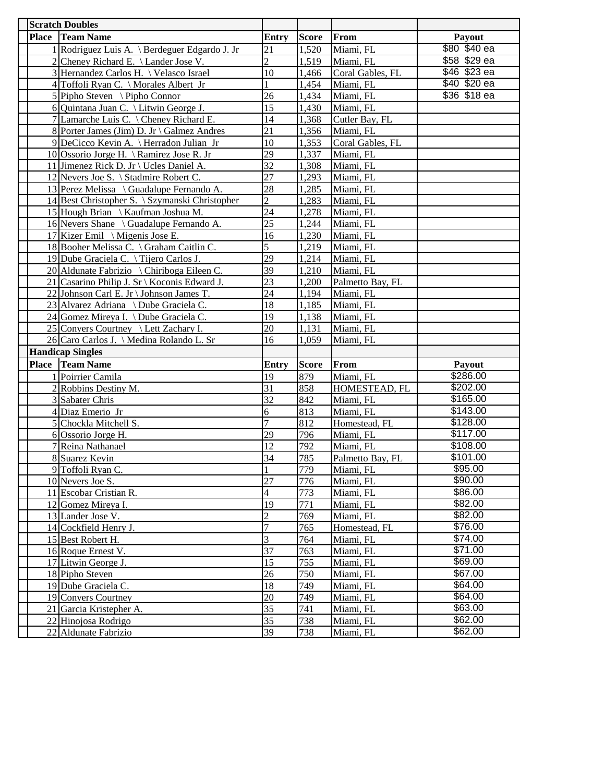| <b>Scratch Doubles</b>                         |                 |              |                        |                      |
|------------------------------------------------|-----------------|--------------|------------------------|----------------------|
| <b>Place Team Name</b>                         | Entry           | <b>Score</b> | From                   | Payout               |
| 1 Rodriguez Luis A. \ Berdeguer Edgardo J. Jr  | 21              | 1,520        | Miami, FL              | \$80 \$40 ea         |
| 2 Cheney Richard E. \ Lander Jose V.           | $\overline{2}$  | 1,519        | Miami, FL              | \$58 \$29 ea         |
| 3 Hernandez Carlos H. \ Velasco Israel         | 10              | 1,466        | Coral Gables, FL       | \$46 \$23 ea         |
| 4 Toffoli Ryan C. \ Morales Albert Jr          | 1               | 1,454        | Miami, FL              | \$40 \$20 ea         |
| $5$ Pipho Steven \ Pipho Connor                | 26              | 1,434        | Miami, FL              | \$36 \$18 ea         |
| 6 Quintana Juan C. \ Litwin George J.          | 15              | 1,430        | Miami, FL              |                      |
| 7 Lamarche Luis C. \ Cheney Richard E.         | 14              | 1,368        | Cutler Bay, FL         |                      |
| 8 Porter James (Jim) D. Jr \ Galmez Andres     | 21              | 1,356        | Miami, FL              |                      |
| 9 DeCicco Kevin A. \ Herradon Julian Jr        | 10              | 1,353        | Coral Gables, FL       |                      |
| 10 Ossorio Jorge H. \Ramirez Jose R. Jr        | 29              | 1,337        | Miami, FL              |                      |
| 11 Jimenez Rick D. Jr \ Ucles Daniel A.        | 32              | 1,308        | Miami, FL              |                      |
| 12 Nevers Joe S. \ Stadmire Robert C.          | $\overline{27}$ | 1,293        | Miami, FL              |                      |
| 13 Perez Melissa \ Guadalupe Fernando A.       | 28              | 1,285        | Miami, FL              |                      |
| 14 Best Christopher S. \ Szymanski Christopher | $\overline{c}$  | 1,283        | Miami, FL              |                      |
| 15 Hough Brian \ Kaufman Joshua M.             | $\overline{24}$ | 1,278        | Miami, FL              |                      |
| 16 Nevers Shane \ Guadalupe Fernando A.        | $\overline{25}$ | 1,244        | Miami, FL              |                      |
| 17 Kizer Emil \ Migenis Jose E.                | 16              | 1,230        | Miami, FL              |                      |
| 18 Booher Melissa C. \ Graham Caitlin C.       | 5               | 1,219        | Miami, FL              |                      |
| 19 Dube Graciela C. \Tijero Carlos J.          | 29              | 1,214        | Miami, FL              |                      |
| 20 Aldunate Fabrizio \ Chiriboga Eileen C.     | 39              | 1,210        | Miami, FL              |                      |
| 21 Casarino Philip J. Sr \ Koconis Edward J.   | 23              | 1,200        | Palmetto Bay, FL       |                      |
| 22 Johnson Carl E. Jr \ Johnson James T.       | 24              | 1,194        | Miami, FL              |                      |
| 23 Alvarez Adriana \ Dube Graciela C.          | 18              | 1,185        | Miami, FL              |                      |
| 24 Gomez Mireya I. \ Dube Graciela C.          | 19              | 1,138        | Miami, FL              |                      |
| 25 Convers Courtney \ Lett Zachary I.          | 20              | 1,131        | Miami, FL              |                      |
| 26 Caro Carlos J. \ Medina Rolando L. Sr       | 16              | 1,059        | Miami, FL              |                      |
| <b>Handicap Singles</b>                        |                 |              |                        |                      |
| Place Team Name                                | Entry           | <b>Score</b> | From                   | Payout               |
| 1 Poirrier Camila                              | 19              | 879          | Miami, FL              | \$286.00             |
| 2 Robbins Destiny M.                           | 31              | 858          | HOMESTEAD, FL          | \$202.00             |
| 3 Sabater Chris                                | 32              | 842          | Miami, FL              | \$165.00             |
| 4 Diaz Emerio Jr                               | 6               | 813          | Miami, FL              | \$143.00             |
| 5 Chockla Mitchell S.                          | 7               | 812          | Homestead, FL          | \$128.00             |
| 6 Ossorio Jorge H.                             | 29              | 796          | Miami, FL              | \$117.00             |
| 7 Reina Nathanael                              | 12              | 792          | Miami, FL              | \$108.00<br>\$101.00 |
| 8 Suarez Kevin                                 | 34              | 785          | Palmetto Bay, FL       | \$95.00              |
| 9 Toffoli Ryan C.                              | 27              | 779          | Miami, FL              | \$90.00              |
| 10 Nevers Joe S.<br>11 Escobar Cristian R.     | 4               | 776<br>773   | Miami, FL<br>Miami, FL | \$86.00              |
| 12 Gomez Mireya I.                             | 19              | 771          | Miami, FL              | \$82.00              |
| 13 Lander Jose V.                              | $\overline{c}$  | 769          | Miami, FL              | \$82.00              |
| 14 Cockfield Henry J.                          | 7               | 765          | Homestead, FL          | \$76.00              |
| 15 Best Robert H.                              | 3               | 764          | Miami, FL              | \$74.00              |
| 16 Roque Ernest V.                             | 37              | 763          | Miami, FL              | \$71.00              |
| 17 Litwin George J.                            | 15              | 755          | Miami, FL              | \$69.00              |
| 18 Pipho Steven                                | 26              | 750          | Miami, FL              | \$67.00              |
| 19 Dube Graciela C.                            | 18              | 749          | Miami, FL              | \$64.00              |
| 19 Conyers Courtney                            | 20              | 749          | Miami, FL              | \$64.00              |
| 21 Garcia Kristepher A.                        | 35              | 741          | Miami, FL              | \$63.00              |
| 22 Hinojosa Rodrigo                            | $\overline{35}$ | 738          | Miami, FL              | \$62.00              |
| 22 Aldunate Fabrizio                           | 39              | 738          | Miami, FL              | \$62.00              |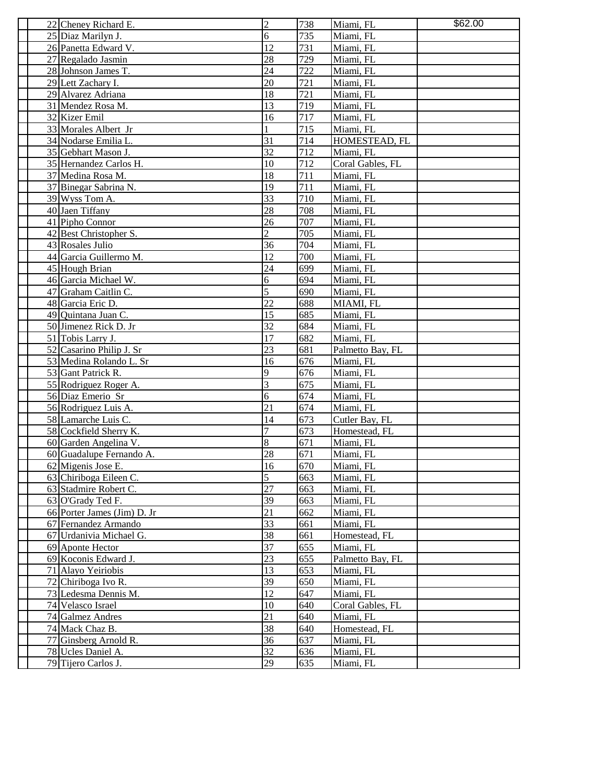| 22 Cheney Richard E.                     | $\overline{c}$ | 738        | Miami, FL                  | \$62.00 |
|------------------------------------------|----------------|------------|----------------------------|---------|
| 25 Diaz Marilyn J.                       | 6              | 735        | Miami, FL                  |         |
| 26 Panetta Edward V.                     | 12             | 731        | Miami, FL                  |         |
| 27 Regalado Jasmin                       | 28             | 729        | Miami, FL                  |         |
| 28 Johnson James T.                      | 24             | 722        | Miami, FL                  |         |
| 29 Lett Zachary I.                       | 20             | 721        | Miami, FL                  |         |
| 29 Alvarez Adriana                       | 18             | 721        | Miami, FL                  |         |
| 31 Mendez Rosa M.                        | 13             | 719        | Miami, FL                  |         |
| 32 Kizer Emil                            | 16             | 717        | Miami, FL                  |         |
| 33 Morales Albert Jr                     |                | 715        | Miami, FL                  |         |
| 34 Nodarse Emilia L.                     | 31             | 714        | HOMESTEAD, FL              |         |
| 35 Gebhart Mason J.                      | 32             | 712        | Miami, FL                  |         |
| 35 Hernandez Carlos H.                   | 10             | 712        | Coral Gables, FL           |         |
| 37 Medina Rosa M.                        | 18             | 711        | Miami, FL                  |         |
| 37 Binegar Sabrina N.                    | 19             | 711        | Miami, FL                  |         |
| 39 Wyss Tom A.                           | 33             | 710        | Miami, FL                  |         |
| 40 Jaen Tiffany                          | 28             | 708        | Miami, FL                  |         |
| 41 Pipho Connor                          | 26             | 707        | Miami, FL                  |         |
| 42 Best Christopher S.                   | $\overline{c}$ | 705        | Miami, FL                  |         |
| 43 Rosales Julio                         | 36             | 704        | Miami, FL                  |         |
| 44 Garcia Guillermo M.                   | 12             | 700        | Miami, FL                  |         |
| 45 Hough Brian                           | 24             | 699        | Miami, FL                  |         |
| 46 Garcia Michael W.                     | 6              | 694        | Miami, FL                  |         |
| 47 Graham Caitlin C.                     | 5              | 690        | Miami, FL                  |         |
| 48 Garcia Eric D.                        | 22             | 688        | MIAMI, FL                  |         |
| 49 Quintana Juan C.                      | 15             | 685        | Miami, FL                  |         |
| 50 Jimenez Rick D. Jr                    | 32             | 684        | Miami, FL                  |         |
| 51 Tobis Larry J.                        | 17             | 682        | Miami, FL                  |         |
| 52 Casarino Philip J. Sr                 | 23             | 681        | Palmetto Bay, FL           |         |
| 53 Medina Rolando L. Sr                  | 16             | 676        | Miami, FL                  |         |
| 53 Gant Patrick R.                       | 9              | 676        | Miami, FL                  |         |
| 55 Rodriguez Roger A.                    | 3              | 675        | Miami, FL                  |         |
| 56 Diaz Emerio Sr                        | 6              | 674        | Miami, FL                  |         |
| 56 Rodriguez Luis A.                     | 21             | 674        | Miami, FL                  |         |
| 58 Lamarche Luis C.                      | 14             | 673        | Cutler Bay, FL             |         |
| 58 Cockfield Sherry K.                   | 7              | 673        | Homestead, FL              |         |
| 60 Garden Angelina V.                    | 8              | 671        | Miami, FL                  |         |
| 60 Guadalupe Fernando A.                 | 28             | 671        | Miami, FL                  |         |
| 62 Migenis Jose E.                       | 16             | 670        | Miami, FL                  |         |
| 63 Chiriboga Eileen C.                   | 5              | 663        | Miami, FL                  |         |
| 63 Stadmire Robert C.                    | 27             | 663        | Miami, FL                  |         |
| 63 O'Grady Ted F.                        | 39             | 663        | Miami, FL                  |         |
| 66 Porter James (Jim) D. Jr              | 21             | 662        | Miami, FL                  |         |
| 67 Fernandez Armando                     | 33             | 661        | Miami, FL                  |         |
| 67 Urdanivia Michael G.                  | 38             | 661        | Homestead, FL              |         |
| 69 Aponte Hector                         | 37             | 655        | Miami, FL                  |         |
| 69 Koconis Edward J.                     | 23             | 655        | Palmetto Bay, FL           |         |
| 71 Alayo Yeiriobis                       | 13             | 653        | Miami, FL                  |         |
| 72 Chiriboga Ivo R.                      | 39             | 650        | Miami, FL                  |         |
| 73 Ledesma Dennis M.                     | 12             | 647        | Miami, FL                  |         |
| 74 Velasco Israel                        | 10<br>21       | 640<br>640 | Coral Gables, FL           |         |
| 74 Galmez Andres                         | 38             | 640        | Miami, FL                  |         |
| 74 Mack Chaz B.<br>77 Ginsberg Arnold R. | 36             | 637        | Homestead, FL<br>Miami, FL |         |
| 78 Ucles Daniel A.                       | 32             | 636        | Miami, FL                  |         |
| 79 Tijero Carlos J.                      | 29             | 635        | Miami, FL                  |         |
|                                          |                |            |                            |         |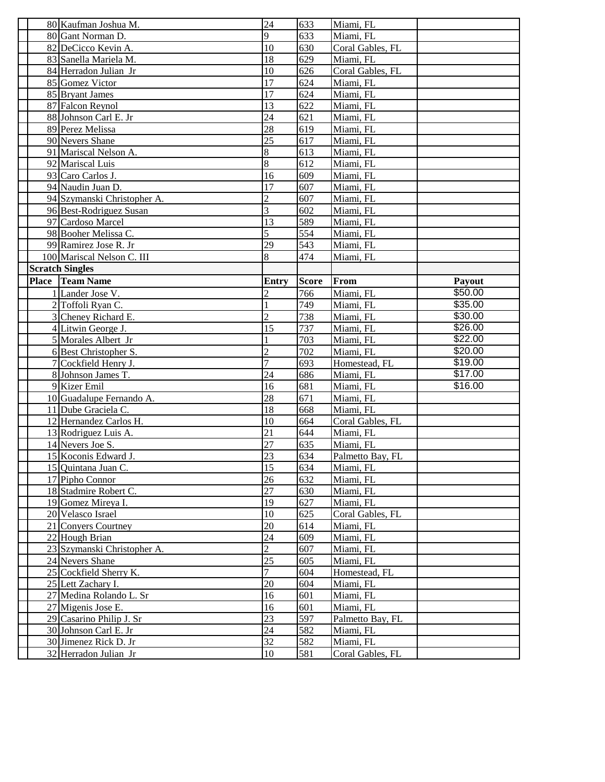| 80 Kaufman Joshua M.        | 24             | 633          | Miami, FL        |         |
|-----------------------------|----------------|--------------|------------------|---------|
| 80 Gant Norman D.           | 9              | 633          | Miami, FL        |         |
| 82 DeCicco Kevin A.         | 10             | 630          | Coral Gables, FL |         |
| 83 Sanella Mariela M.       | 18             | 629          | Miami, FL        |         |
| 84 Herradon Julian Jr       | 10             | 626          | Coral Gables, FL |         |
| 85 Gomez Victor             | 17             | 624          | Miami, FL        |         |
| 85 Bryant James             | 17             | 624          | Miami, FL        |         |
| 87 Falcon Reynol            | 13             | 622          | Miami, FL        |         |
| 88 Johnson Carl E. Jr       | 24             | 621          | Miami, FL        |         |
| 89 Perez Melissa            | 28             | 619          | Miami, FL        |         |
| 90 Nevers Shane             | 25             | 617          | Miami, FL        |         |
| 91 Mariscal Nelson A.       | 8              | 613          | Miami, FL        |         |
| 92 Mariscal Luis            | 8              | 612          | Miami, FL        |         |
| 93 Caro Carlos J.           | 16             | 609          | Miami, FL        |         |
| 94 Naudin Juan D.           | 17             | 607          | Miami, FL        |         |
| 94 Szymanski Christopher A. | $\overline{c}$ | 607          | Miami, FL        |         |
| 96 Best-Rodriguez Susan     | 3              | 602          | Miami, FL        |         |
| 97 Cardoso Marcel           | 13             | 589          | Miami, FL        |         |
| 98 Booher Melissa C.        | 5              | 554          | Miami, FL        |         |
| 99 Ramirez Jose R. Jr       | 29             | 543          | Miami, FL        |         |
| 100 Mariscal Nelson C. III  | 8              | 474          | Miami, FL        |         |
| <b>Scratch Singles</b>      |                |              |                  |         |
| Place Team Name             |                |              |                  | Payout  |
|                             | Entry          | <b>Score</b> | From             | \$50.00 |
| 1 Lander Jose V.            | 2              | 766          | Miami, FL        |         |
| 2 Toffoli Ryan C.           |                | 749          | Miami, FL        | \$35.00 |
| 3 Cheney Richard E.         | $\overline{2}$ | 738          | Miami, FL        | \$30.00 |
| 4 Litwin George J.          | 15             | 737          | Miami, FL        | \$26.00 |
| 5 Morales Albert Jr         |                | 703          | Miami, FL        | \$22.00 |
| 6 Best Christopher S.       | $\overline{2}$ | 702          | Miami, FL        | \$20.00 |
| 7 Cockfield Henry J.        | 7              | 693          | Homestead, FL    | \$19.00 |
| 8 Johnson James T.          | 24             | 686          | Miami, FL        | \$17.00 |
| 9 Kizer Emil                | 16             | 681          | Miami, FL        | \$16.00 |
| 10 Guadalupe Fernando A.    | 28             | 671          | Miami, FL        |         |
| 11 Dube Graciela C.         | 18             | 668          | Miami, FL        |         |
| 12 Hernandez Carlos H.      | 10             | 664          | Coral Gables, FL |         |
| 13 Rodriguez Luis A.        | 21             | 644          | Miami, FL        |         |
| 14 Nevers Joe S.            | 27             | 635          | Miami, FL        |         |
| 15 Koconis Edward J.        | 23             | 634          | Palmetto Bay, FL |         |
| 15 Quintana Juan C.         | 15             | 634          | Miami, FL        |         |
| 17 Pipho Connor             | 26             | 632          | Miami, FL        |         |
| 18 Stadmire Robert C.       | 27             | 630          | Miami, FL        |         |
| 19 Gomez Mireya I.          | 19             | 627          | Miami, FL        |         |
| 20 Velasco Israel           | 10             | 625          | Coral Gables, FL |         |
| 21 Convers Courtney         | 20             | 614          | Miami, FL        |         |
| 22 Hough Brian              | 24             | 609          | Miami, FL        |         |
| 23 Szymanski Christopher A. | $\overline{c}$ | 607          | Miami, FL        |         |
| 24 Nevers Shane             | 25             | 605          | Miami, FL        |         |
| 25 Cockfield Sherry K.      | 7              | 604          | Homestead, FL    |         |
| 25 Lett Zachary I.          | 20             | 604          | Miami, FL        |         |
| 27 Medina Rolando L. Sr     | 16             | 601          | Miami, FL        |         |
| 27 Migenis Jose E.          | 16             | 601          | Miami, FL        |         |
| 29 Casarino Philip J. Sr    | 23             | 597          | Palmetto Bay, FL |         |
| 30 Johnson Carl E. Jr       | 24             | 582          | Miami, FL        |         |
| 30 Jimenez Rick D. Jr       | 32             | 582          | Miami, FL        |         |
|                             |                |              |                  |         |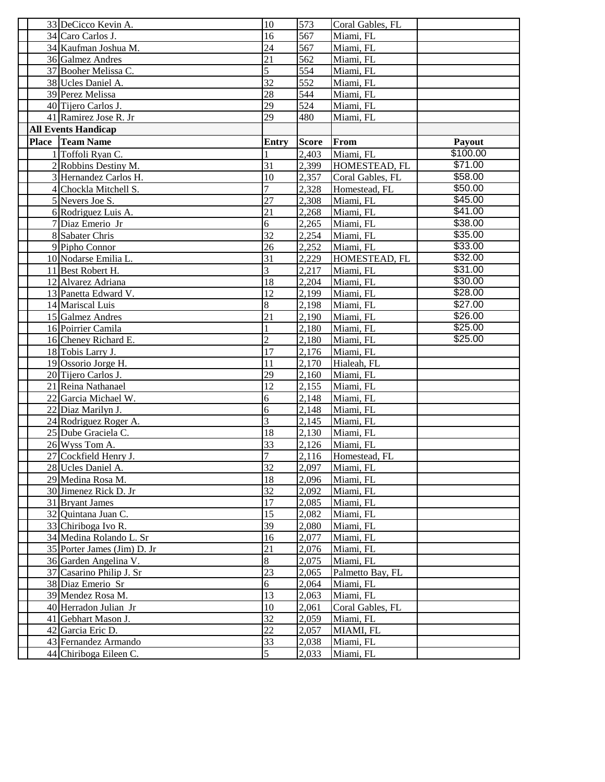| 33 DeCicco Kevin A.         | 10             | 573          | Coral Gables, FL |                 |
|-----------------------------|----------------|--------------|------------------|-----------------|
| 34 Caro Carlos J.           | 16             | 567          | Miami, FL        |                 |
| 34 Kaufman Joshua M.        | 24             | 567          | Miami, FL        |                 |
| 36 Galmez Andres            | 21             | 562          | Miami, FL        |                 |
| 37 Booher Melissa C.        | 5              | 554          | Miami, FL        |                 |
| 38 Ucles Daniel A.          | 32             | 552          | Miami, FL        |                 |
| 39 Perez Melissa            | 28             | 544          | Miami, FL        |                 |
| 40 Tijero Carlos J.         | 29             | 524          | Miami, FL        |                 |
| 41 Ramirez Jose R. Jr       | 29             | 480          | Miami, FL        |                 |
| <b>All Events Handicap</b>  |                |              |                  |                 |
| <b>Place Team Name</b>      | Entry          | <b>Score</b> | From             | Payout          |
| 1 Toffoli Ryan C.           |                | 2,403        | Miami, FL        | \$100.00        |
| 2 Robbins Destiny M.        | 31             | 2,399        | HOMESTEAD, FL    | \$71.00         |
| 3 Hernandez Carlos H.       | 10             | 2,357        | Coral Gables, FL | \$58.00         |
| 4 Chockla Mitchell S.       | 7              | 2,328        | Homestead, FL    | \$50.00         |
| 5 Nevers Joe S.             | 27             | 2,308        | Miami, FL        | \$45.00         |
| 6 Rodriguez Luis A.         | 21             | 2,268        | Miami, FL        | \$41.00         |
| 7 Diaz Emerio Jr            | 6              | 2,265        | Miami, FL        | \$38.00         |
| 8 Sabater Chris             | 32             | 2,254        | Miami, FL        | \$35.00         |
| 9 Pipho Connor              | 26             | 2,252        | Miami, FL        | \$33.00         |
| 10 Nodarse Emilia L.        | 31             | 2,229        | HOMESTEAD, FL    | \$32.00         |
| 11 Best Robert H.           | 3              | 2,217        | Miami, FL        | \$31.00         |
| 12 Alvarez Adriana          | 18             | 2,204        | Miami, FL        | \$30.00         |
| 13 Panetta Edward V.        | 12             | 2.199        | Miami, FL        | \$28.00         |
| 14 Mariscal Luis            | 8              | 2,198        | Miami, FL        | \$27.00         |
| 15 Galmez Andres            | 21             | 2,190        | Miami, FL        | \$26.00         |
| 16 Poirrier Camila          |                | 2,180        | Miami, FL        | $\sqrt{$25.00}$ |
| 16 Cheney Richard E.        | $\overline{c}$ | 2,180        | Miami, FL        | \$25.00         |
| 18 Tobis Larry J.           | 17             | 2,176        | Miami, FL        |                 |
| 19 Ossorio Jorge H.         | 11             | 2,170        | Hialeah, FL      |                 |
| 20 Tijero Carlos J.         | 29             | 2,160        | Miami, FL        |                 |
| 21 Reina Nathanael          | 12             | 2,155        | Miami, FL        |                 |
| 22 Garcia Michael W.        | 6              | 2,148        | Miami, FL        |                 |
| 22 Diaz Marilyn J.          | 6              | 2,148        | Miami, FL        |                 |
| 24 Rodriguez Roger A.       | 3              | 2,145        | Miami, FL        |                 |
| 25 Dube Graciela C.         | 18             | 2,130        | Miami, FL        |                 |
| 26 Wyss Tom A.              | 33             | 2,126        | Miami, FL        |                 |
| 27 Cockfield Henry J.       | 7              | 2,116        | Homestead, FL    |                 |
| 28 Ucles Daniel A.          | 32             | 2,097        | Miami, FL        |                 |
| 29 Medina Rosa M.           | 18             | 2,096        | Miami, FL        |                 |
| 30 Jimenez Rick D. Jr       | 32             | 2,092        | Miami, FL        |                 |
| 31 Bryant James             | 17             | 2,085        | Miami, FL        |                 |
| 32 Quintana Juan C.         | 15             | 2,082        | Miami, FL        |                 |
| 33 Chiriboga Ivo R.         | 39             | 2,080        | Miami, FL        |                 |
| 34 Medina Rolando L. Sr     | 16             | 2,077        | Miami, FL        |                 |
| 35 Porter James (Jim) D. Jr | 21             | 2,076        | Miami, FL        |                 |
| 36 Garden Angelina V.       | 8              | 2,075        | Miami, FL        |                 |
| 37 Casarino Philip J. Sr    | 23             | 2,065        | Palmetto Bay, FL |                 |
| 38 Diaz Emerio Sr           | 6              | 2,064        | Miami, FL        |                 |
| 39 Mendez Rosa M.           | 13             | 2,063        | Miami, FL        |                 |
| 40 Herradon Julian Jr       | 10             | 2,061        | Coral Gables, FL |                 |
| 41 Gebhart Mason J.         | 32             | 2,059        | Miami, FL        |                 |
| 42 Garcia Eric D.           | 22             | 2,057        | MIAMI, FL        |                 |
| 43 Fernandez Armando        | 33             | 2,038        | Miami, FL        |                 |
| 44 Chiriboga Eileen C.      | 5              | 2,033        | Miami, FL        |                 |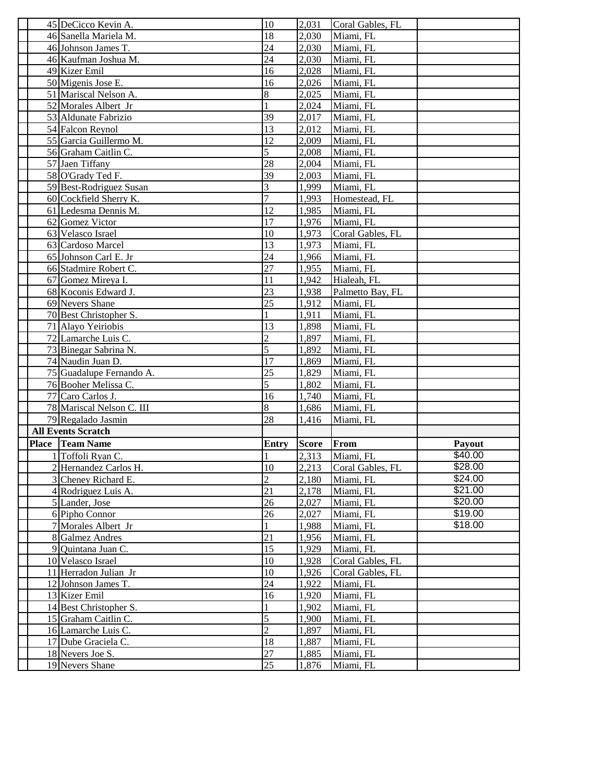|              | 45 DeCicco Kevin A.                     | 10                   | 2,031          | Coral Gables, FL                     |                    |
|--------------|-----------------------------------------|----------------------|----------------|--------------------------------------|--------------------|
|              | 46 Sanella Mariela M.                   | 18                   | 2,030          | Miami, FL                            |                    |
|              | 46 Johnson James T.                     | 24                   | 2,030          | Miami, FL                            |                    |
|              | 46 Kaufman Joshua M.                    | 24                   | 2,030          | Miami, FL                            |                    |
|              | 49 Kizer Emil                           | 16                   | 2,028          | Miami, FL                            |                    |
|              | 50 Migenis Jose E.                      | 16                   | 2,026          | Miami, FL                            |                    |
|              | 51 Mariscal Nelson A.                   | 8                    | 2,025          | Miami, FL                            |                    |
|              | 52 Morales Albert Jr                    |                      | 2,024          | Miami, FL                            |                    |
|              | 53 Aldunate Fabrizio                    | 39                   | 2,017          | Miami, FL                            |                    |
|              | 54 Falcon Reynol                        | 13                   | 2,012          | Miami, FL                            |                    |
|              | 55 Garcia Guillermo M.                  | 12                   | 2,009          | Miami, FL                            |                    |
|              | 56 Graham Caitlin C.                    | 5                    | 2.008          | Miami, FL                            |                    |
|              | 57 Jaen Tiffany                         | 28                   | 2,004          | Miami, FL                            |                    |
|              | 58 O'Grady Ted F.                       | 39                   | 2,003          | Miami, FL                            |                    |
|              | 59 Best-Rodriguez Susan                 | 3                    | 1,999          | Miami, FL                            |                    |
|              | 60 Cockfield Sherry K.                  | 7                    | 1,993          | Homestead, FL                        |                    |
|              | 61 Ledesma Dennis M.                    | 12                   | 1,985          | Miami, FL                            |                    |
|              | 62 Gomez Victor                         | 17                   | 1,976          | Miami, FL                            |                    |
|              | 63 Velasco Israel                       | 10                   | 1,973          | Coral Gables, FL                     |                    |
|              | 63 Cardoso Marcel                       | 13                   | 1,973          | Miami, FL                            |                    |
|              | 65 Johnson Carl E. Jr                   | 24                   | 1,966          | Miami, FL                            |                    |
|              | 66 Stadmire Robert C.                   | 27                   | 1,955          | Miami, FL                            |                    |
|              | 67 Gomez Mireya I.                      | 11                   | 1,942          | Hialeah, FL                          |                    |
|              | 68 Koconis Edward J.                    | 23                   | 1,938          | Palmetto Bay, FL                     |                    |
|              | 69 Nevers Shane                         | 25                   | 1,912          | Miami, FL                            |                    |
|              | 70 Best Christopher S.                  |                      | 1,911          | Miami, FL                            |                    |
|              | 71 Alayo Yeiriobis                      | 13                   | 1,898          | Miami, FL                            |                    |
|              | 72 Lamarche Luis C.                     | $\overline{c}$       | 1,897          | Miami, FL                            |                    |
|              |                                         |                      |                |                                      |                    |
|              |                                         |                      |                |                                      |                    |
|              | 73 Binegar Sabrina N.                   | 5                    | 1,892          | Miami, FL                            |                    |
|              | 74 Naudin Juan D.                       | 17                   | 1,869          | Miami, FL                            |                    |
|              | 75 Guadalupe Fernando A.                | 25                   | 1,829          | Miami, FL                            |                    |
|              | 76 Booher Melissa C.                    | 5                    | 1,802          | Miami, FL                            |                    |
|              | 77 Caro Carlos J.                       | 16                   | 1,740          | Miami, FL                            |                    |
|              | 78 Mariscal Nelson C. III               | 8                    | 1,686          | Miami, FL                            |                    |
|              | 79 Regalado Jasmin                      | 28                   | 1,416          | Miami, FL                            |                    |
|              | <b>All Events Scratch</b>               |                      |                |                                      |                    |
| <b>Place</b> | <b>Team Name</b>                        | Entry                | <b>Score</b>   | <b>From</b>                          | Payout             |
|              | 1 Toffoli Ryan C.                       |                      | 2,313          | Miami, FL                            | \$40.00            |
|              | 2 Hernandez Carlos H.                   | 10<br>$\overline{2}$ | 2,213          | Coral Gables, FL                     | \$28.00<br>\$24.00 |
|              | 3 Cheney Richard E.                     | 21                   | 2,180          | Miami, FL                            | \$21.00            |
|              | 4 Rodriguez Luis A.                     | 26                   | 2,178<br>2,027 | Miami, FL                            | \$20.00            |
|              | 5 Lander, Jose<br>6 Pipho Connor        | 26                   | 2,027          | Miami, FL<br>Miami, FL               | \$19.00            |
|              | 7 Morales Albert Jr                     |                      | 1,988          | Miami, FL                            | \$18.00            |
|              | 8 Galmez Andres                         | 21                   | 1,956          | Miami, FL                            |                    |
|              |                                         | 15                   | 1,929          | Miami, FL                            |                    |
|              | 9 Quintana Juan C.<br>10 Velasco Israel | 10                   | 1,928          |                                      |                    |
|              | 11 Herradon Julian Jr                   | 10                   | 1,926          | Coral Gables, FL<br>Coral Gables, FL |                    |
|              | 12 Johnson James T.                     | 24                   | 1,922          | Miami, FL                            |                    |
|              | 13 Kizer Emil                           | 16                   | 1,920          | Miami, FL                            |                    |
|              | 14 Best Christopher S.                  |                      | 1,902          | Miami, FL                            |                    |
|              | 15 Graham Caitlin C.                    | 5                    | 1,900          | Miami, FL                            |                    |
|              | 16 Lamarche Luis C.                     | $\overline{c}$       | 1,897          | Miami, FL                            |                    |
|              | 17 Dube Graciela C.                     | 18                   | 1,887          | Miami, FL                            |                    |
|              | 18 Nevers Joe S.                        | 27<br>25             | 1,885          | Miami, FL                            |                    |